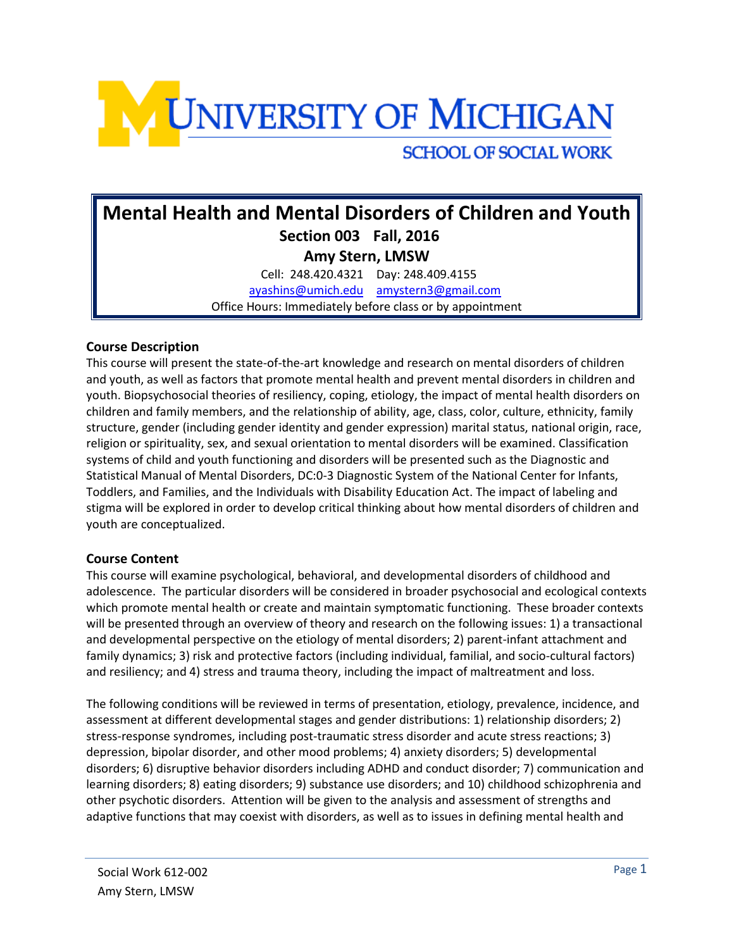

# **Mental Health and Mental Disorders of Children and Youth Section 003 Fall, 2016 Amy Stern, LMSW** Cell: 248.420.4321 Day: 248.409.4155 [ayashins@umich.edu](mailto:ayashins@umich.edu) [amystern3@gmail.com](mailto:amystern3@gmail.com)

Office Hours: Immediately before class or by appointment

## **Course Description**

This course will present the state-of-the-art knowledge and research on mental disorders of children and youth, as well as factors that promote mental health and prevent mental disorders in children and youth. Biopsychosocial theories of resiliency, coping, etiology, the impact of mental health disorders on children and family members, and the relationship of ability, age, class, color, culture, ethnicity, family structure, gender (including gender identity and gender expression) marital status, national origin, race, religion or spirituality, sex, and sexual orientation to mental disorders will be examined. Classification systems of child and youth functioning and disorders will be presented such as the Diagnostic and Statistical Manual of Mental Disorders, DC:0-3 Diagnostic System of the National Center for Infants, Toddlers, and Families, and the Individuals with Disability Education Act. The impact of labeling and stigma will be explored in order to develop critical thinking about how mental disorders of children and youth are conceptualized.

## **Course Content**

This course will examine psychological, behavioral, and developmental disorders of childhood and adolescence. The particular disorders will be considered in broader psychosocial and ecological contexts which promote mental health or create and maintain symptomatic functioning. These broader contexts will be presented through an overview of theory and research on the following issues: 1) a transactional and developmental perspective on the etiology of mental disorders; 2) parent-infant attachment and family dynamics; 3) risk and protective factors (including individual, familial, and socio-cultural factors) and resiliency; and 4) stress and trauma theory, including the impact of maltreatment and loss.

The following conditions will be reviewed in terms of presentation, etiology, prevalence, incidence, and assessment at different developmental stages and gender distributions: 1) relationship disorders; 2) stress-response syndromes, including post-traumatic stress disorder and acute stress reactions; 3) depression, bipolar disorder, and other mood problems; 4) anxiety disorders; 5) developmental disorders; 6) disruptive behavior disorders including ADHD and conduct disorder; 7) communication and learning disorders; 8) eating disorders; 9) substance use disorders; and 10) childhood schizophrenia and other psychotic disorders. Attention will be given to the analysis and assessment of strengths and adaptive functions that may coexist with disorders, as well as to issues in defining mental health and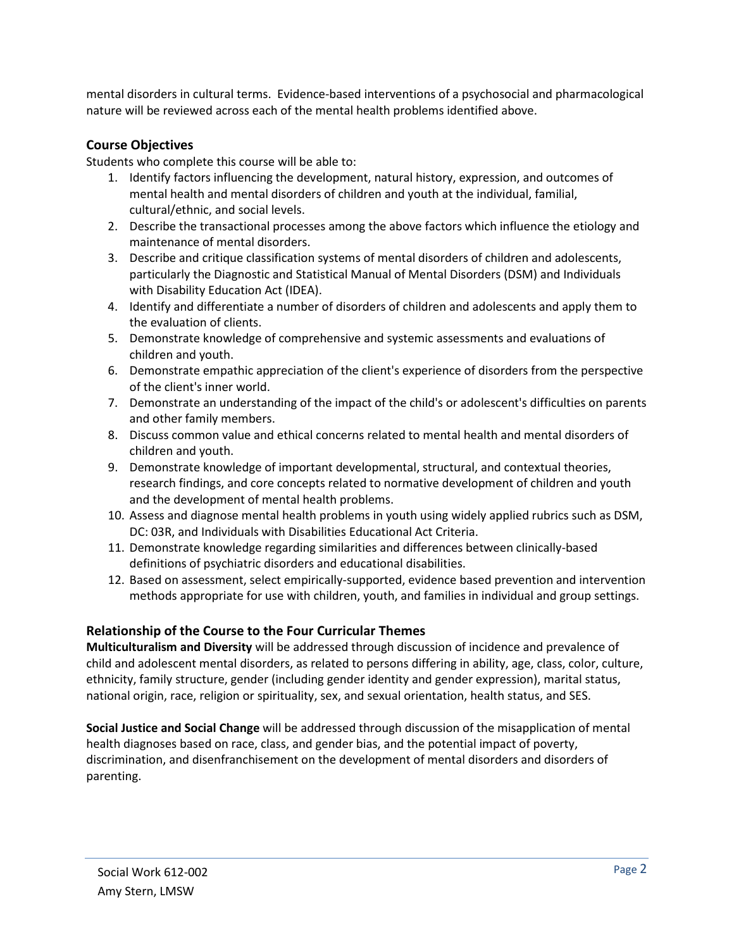mental disorders in cultural terms. Evidence-based interventions of a psychosocial and pharmacological nature will be reviewed across each of the mental health problems identified above.

## **Course Objectives**

Students who complete this course will be able to:

- 1. Identify factors influencing the development, natural history, expression, and outcomes of mental health and mental disorders of children and youth at the individual, familial, cultural/ethnic, and social levels.
- 2. Describe the transactional processes among the above factors which influence the etiology and maintenance of mental disorders.
- 3. Describe and critique classification systems of mental disorders of children and adolescents, particularly the Diagnostic and Statistical Manual of Mental Disorders (DSM) and Individuals with Disability Education Act (IDEA).
- 4. Identify and differentiate a number of disorders of children and adolescents and apply them to the evaluation of clients.
- 5. Demonstrate knowledge of comprehensive and systemic assessments and evaluations of children and youth.
- 6. Demonstrate empathic appreciation of the client's experience of disorders from the perspective of the client's inner world.
- 7. Demonstrate an understanding of the impact of the child's or adolescent's difficulties on parents and other family members.
- 8. Discuss common value and ethical concerns related to mental health and mental disorders of children and youth.
- 9. Demonstrate knowledge of important developmental, structural, and contextual theories, research findings, and core concepts related to normative development of children and youth and the development of mental health problems.
- 10. Assess and diagnose mental health problems in youth using widely applied rubrics such as DSM, DC: 03R, and Individuals with Disabilities Educational Act Criteria.
- 11. Demonstrate knowledge regarding similarities and differences between clinically-based definitions of psychiatric disorders and educational disabilities.
- 12. Based on assessment, select empirically-supported, evidence based prevention and intervention methods appropriate for use with children, youth, and families in individual and group settings.

## **Relationship of the Course to the Four Curricular Themes**

**Multiculturalism and Diversity** will be addressed through discussion of incidence and prevalence of child and adolescent mental disorders, as related to persons differing in ability, age, class, color, culture, ethnicity, family structure, gender (including gender identity and gender expression), marital status, national origin, race, religion or spirituality, sex, and sexual orientation, health status, and SES.

**Social Justice and Social Change** will be addressed through discussion of the misapplication of mental health diagnoses based on race, class, and gender bias, and the potential impact of poverty, discrimination, and disenfranchisement on the development of mental disorders and disorders of parenting.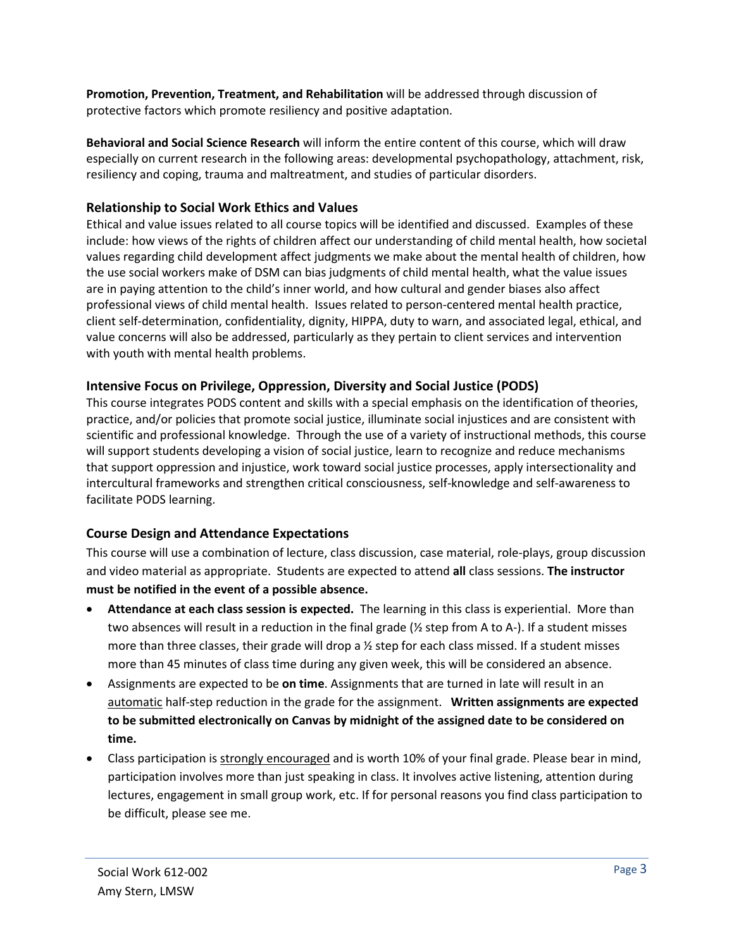**Promotion, Prevention, Treatment, and Rehabilitation** will be addressed through discussion of protective factors which promote resiliency and positive adaptation.

**Behavioral and Social Science Research** will inform the entire content of this course, which will draw especially on current research in the following areas: developmental psychopathology, attachment, risk, resiliency and coping, trauma and maltreatment, and studies of particular disorders.

## **Relationship to Social Work Ethics and Values**

Ethical and value issues related to all course topics will be identified and discussed. Examples of these include: how views of the rights of children affect our understanding of child mental health, how societal values regarding child development affect judgments we make about the mental health of children, how the use social workers make of DSM can bias judgments of child mental health, what the value issues are in paying attention to the child's inner world, and how cultural and gender biases also affect professional views of child mental health. Issues related to person-centered mental health practice, client self-determination, confidentiality, dignity, HIPPA, duty to warn, and associated legal, ethical, and value concerns will also be addressed, particularly as they pertain to client services and intervention with youth with mental health problems.

## **Intensive Focus on Privilege, Oppression, Diversity and Social Justice (PODS)**

This course integrates PODS content and skills with a special emphasis on the identification of theories, practice, and/or policies that promote social justice, illuminate social injustices and are consistent with scientific and professional knowledge. Through the use of a variety of instructional methods, this course will support students developing a vision of social justice, learn to recognize and reduce mechanisms that support oppression and injustice, work toward social justice processes, apply intersectionality and intercultural frameworks and strengthen critical consciousness, self-knowledge and self-awareness to facilitate PODS learning.

# **Course Design and Attendance Expectations**

This course will use a combination of lecture, class discussion, case material, role-plays, group discussion and video material as appropriate. Students are expected to attend **all** class sessions. **The instructor must be notified in the event of a possible absence.** 

- **Attendance at each class session is expected.** The learning in this class is experiential. More than two absences will result in a reduction in the final grade (½ step from A to A-). If a student misses more than three classes, their grade will drop a ½ step for each class missed. If a student misses more than 45 minutes of class time during any given week, this will be considered an absence.
- Assignments are expected to be **on time**. Assignments that are turned in late will result in an automatic half-step reduction in the grade for the assignment. **Written assignments are expected to be submitted electronically on Canvas by midnight of the assigned date to be considered on time.**
- Class participation is strongly encouraged and is worth 10% of your final grade. Please bear in mind, participation involves more than just speaking in class. It involves active listening, attention during lectures, engagement in small group work, etc. If for personal reasons you find class participation to be difficult, please see me.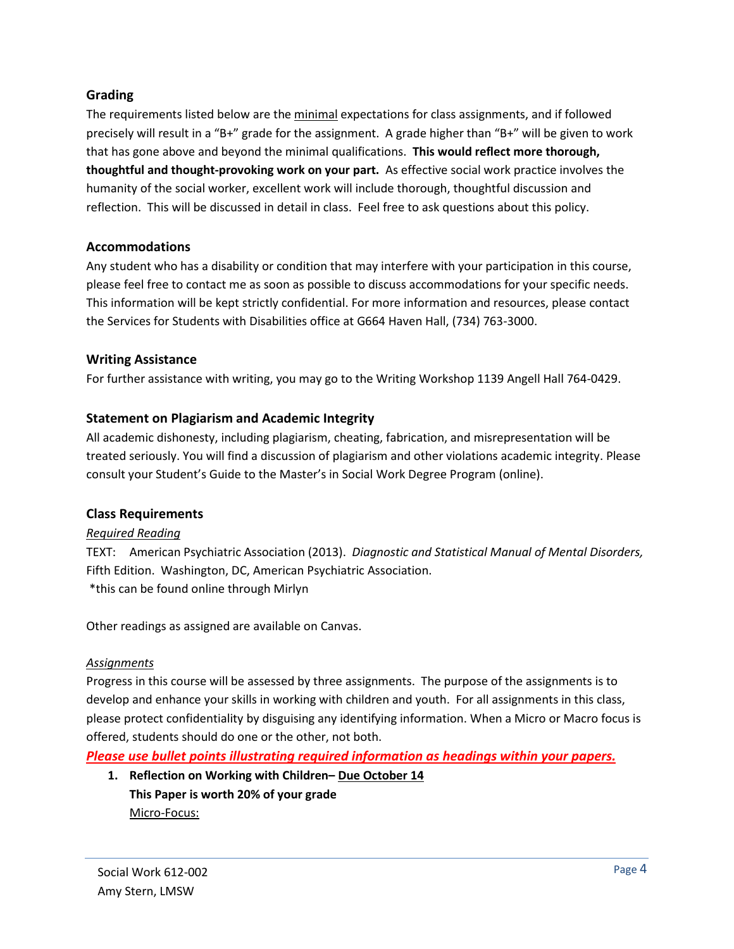## **Grading**

The requirements listed below are the minimal expectations for class assignments, and if followed precisely will result in a "B+" grade for the assignment. A grade higher than "B+" will be given to work that has gone above and beyond the minimal qualifications. **This would reflect more thorough, thoughtful and thought-provoking work on your part.** As effective social work practice involves the humanity of the social worker, excellent work will include thorough, thoughtful discussion and reflection. This will be discussed in detail in class. Feel free to ask questions about this policy.

## **Accommodations**

Any student who has a disability or condition that may interfere with your participation in this course, please feel free to contact me as soon as possible to discuss accommodations for your specific needs. This information will be kept strictly confidential. For more information and resources, please contact the Services for Students with Disabilities office at G664 Haven Hall, (734) 763-3000.

## **Writing Assistance**

For further assistance with writing, you may go to the Writing Workshop 1139 Angell Hall 764-0429.

## **Statement on Plagiarism and Academic Integrity**

All academic dishonesty, including plagiarism, cheating, fabrication, and misrepresentation will be treated seriously. You will find a discussion of plagiarism and other violations academic integrity. Please consult your Student's Guide to the Master's in Social Work Degree Program (online).

## **Class Requirements**

## *Required Reading*

TEXT: American Psychiatric Association (2013). *Diagnostic and Statistical Manual of Mental Disorders,*  Fifth Edition. Washington, DC, American Psychiatric Association. \*this can be found online through Mirlyn

Other readings as assigned are available on Canvas.

#### *Assignments*

Progress in this course will be assessed by three assignments. The purpose of the assignments is to develop and enhance your skills in working with children and youth. For all assignments in this class, please protect confidentiality by disguising any identifying information. When a Micro or Macro focus is offered, students should do one or the other, not both.

*Please use bullet points illustrating required information as headings within your papers.*

**1. Reflection on Working with Children– Due October 14 This Paper is worth 20% of your grade** Micro-Focus: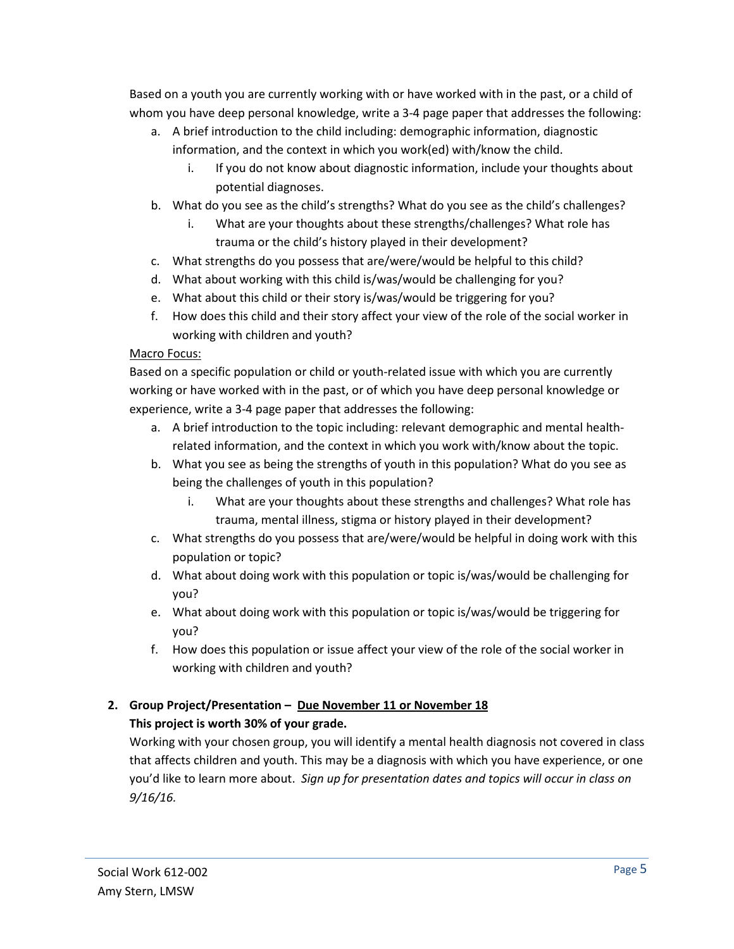Based on a youth you are currently working with or have worked with in the past, or a child of whom you have deep personal knowledge, write a 3-4 page paper that addresses the following:

- a. A brief introduction to the child including: demographic information, diagnostic information, and the context in which you work(ed) with/know the child.
	- i. If you do not know about diagnostic information, include your thoughts about potential diagnoses.
- b. What do you see as the child's strengths? What do you see as the child's challenges?
	- i. What are your thoughts about these strengths/challenges? What role has trauma or the child's history played in their development?
- c. What strengths do you possess that are/were/would be helpful to this child?
- d. What about working with this child is/was/would be challenging for you?
- e. What about this child or their story is/was/would be triggering for you?
- f. How does this child and their story affect your view of the role of the social worker in working with children and youth?

## Macro Focus:

Based on a specific population or child or youth-related issue with which you are currently working or have worked with in the past, or of which you have deep personal knowledge or experience, write a 3-4 page paper that addresses the following:

- a. A brief introduction to the topic including: relevant demographic and mental healthrelated information, and the context in which you work with/know about the topic.
- b. What you see as being the strengths of youth in this population? What do you see as being the challenges of youth in this population?
	- i. What are your thoughts about these strengths and challenges? What role has trauma, mental illness, stigma or history played in their development?
- c. What strengths do you possess that are/were/would be helpful in doing work with this population or topic?
- d. What about doing work with this population or topic is/was/would be challenging for you?
- e. What about doing work with this population or topic is/was/would be triggering for you?
- f. How does this population or issue affect your view of the role of the social worker in working with children and youth?

# **2. Group Project/Presentation – Due November 11 or November 18 This project is worth 30% of your grade.**

Working with your chosen group, you will identify a mental health diagnosis not covered in class that affects children and youth. This may be a diagnosis with which you have experience, or one you'd like to learn more about. *Sign up for presentation dates and topics will occur in class on 9/16/16.*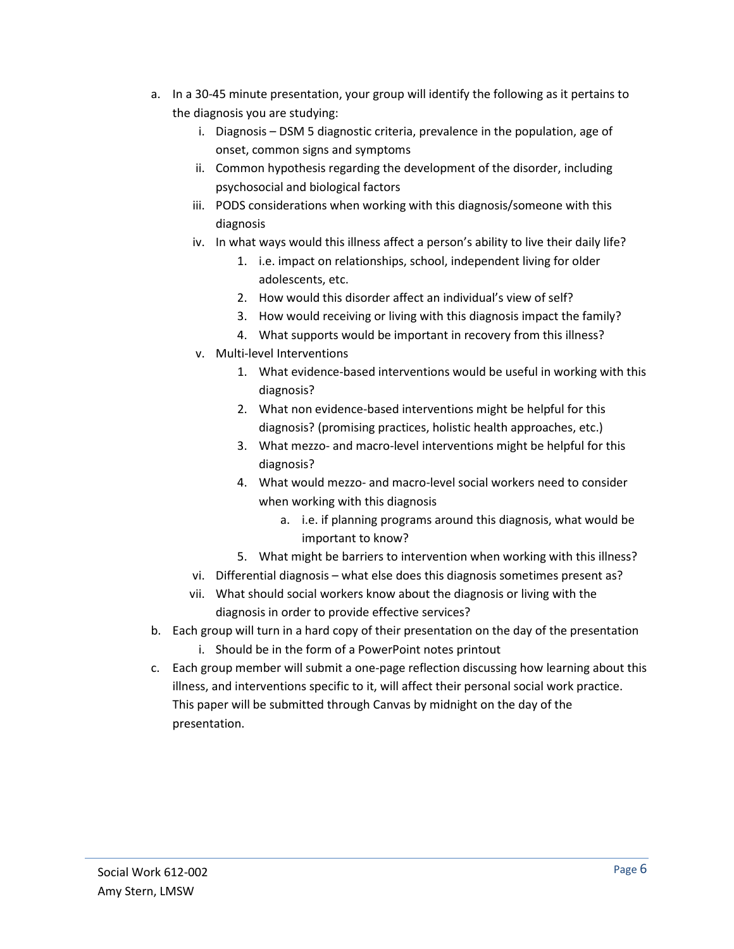- a. In a 30-45 minute presentation, your group will identify the following as it pertains to the diagnosis you are studying:
	- i. Diagnosis DSM 5 diagnostic criteria, prevalence in the population, age of onset, common signs and symptoms
	- ii. Common hypothesis regarding the development of the disorder, including psychosocial and biological factors
	- iii. PODS considerations when working with this diagnosis/someone with this diagnosis
	- iv. In what ways would this illness affect a person's ability to live their daily life?
		- 1. i.e. impact on relationships, school, independent living for older adolescents, etc.
		- 2. How would this disorder affect an individual's view of self?
		- 3. How would receiving or living with this diagnosis impact the family?
		- 4. What supports would be important in recovery from this illness?
	- v. Multi-level Interventions
		- 1. What evidence-based interventions would be useful in working with this diagnosis?
		- 2. What non evidence-based interventions might be helpful for this diagnosis? (promising practices, holistic health approaches, etc.)
		- 3. What mezzo- and macro-level interventions might be helpful for this diagnosis?
		- 4. What would mezzo- and macro-level social workers need to consider when working with this diagnosis
			- a. i.e. if planning programs around this diagnosis, what would be important to know?
		- 5. What might be barriers to intervention when working with this illness?
	- vi. Differential diagnosis what else does this diagnosis sometimes present as?
	- vii. What should social workers know about the diagnosis or living with the diagnosis in order to provide effective services?
- b. Each group will turn in a hard copy of their presentation on the day of the presentation i. Should be in the form of a PowerPoint notes printout
- c. Each group member will submit a one-page reflection discussing how learning about this illness, and interventions specific to it, will affect their personal social work practice. This paper will be submitted through Canvas by midnight on the day of the presentation.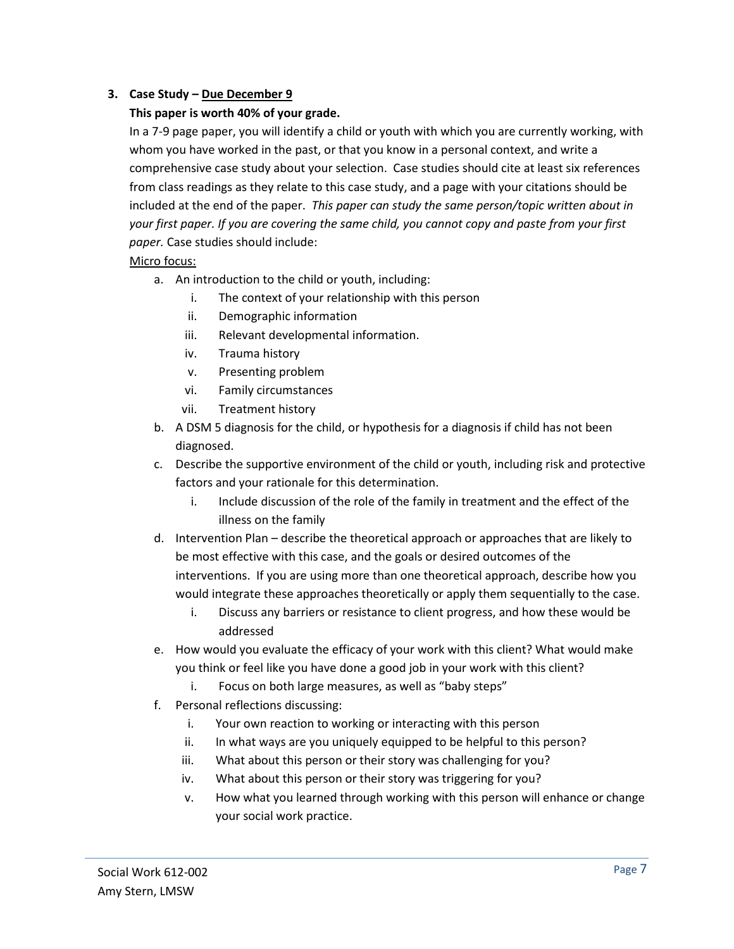## **3. Case Study – Due December 9**

## **This paper is worth 40% of your grade.**

In a 7-9 page paper, you will identify a child or youth with which you are currently working, with whom you have worked in the past, or that you know in a personal context, and write a comprehensive case study about your selection. Case studies should cite at least six references from class readings as they relate to this case study, and a page with your citations should be included at the end of the paper. *This paper can study the same person/topic written about in your first paper. If you are covering the same child, you cannot copy and paste from your first paper.* Case studies should include:

## Micro focus:

- a. An introduction to the child or youth, including:
	- i. The context of your relationship with this person
	- ii. Demographic information
	- iii. Relevant developmental information.
	- iv. Trauma history
	- v. Presenting problem
	- vi. Family circumstances
	- vii. Treatment history
- b. A DSM 5 diagnosis for the child, or hypothesis for a diagnosis if child has not been diagnosed.
- c. Describe the supportive environment of the child or youth, including risk and protective factors and your rationale for this determination.
	- i. Include discussion of the role of the family in treatment and the effect of the illness on the family
- d. Intervention Plan describe the theoretical approach or approaches that are likely to be most effective with this case, and the goals or desired outcomes of the interventions. If you are using more than one theoretical approach, describe how you would integrate these approaches theoretically or apply them sequentially to the case.
	- i. Discuss any barriers or resistance to client progress, and how these would be addressed
- e. How would you evaluate the efficacy of your work with this client? What would make you think or feel like you have done a good job in your work with this client?
	- i. Focus on both large measures, as well as "baby steps"
- f. Personal reflections discussing:
	- i. Your own reaction to working or interacting with this person
	- ii. In what ways are you uniquely equipped to be helpful to this person?
	- iii. What about this person or their story was challenging for you?
	- iv. What about this person or their story was triggering for you?
	- v. How what you learned through working with this person will enhance or change your social work practice.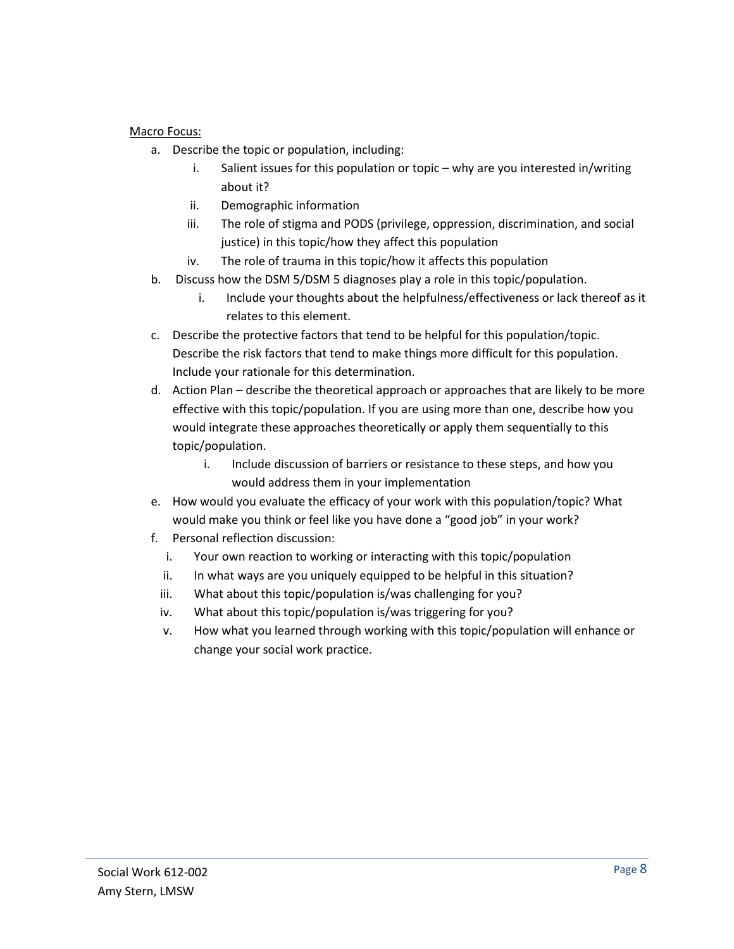## Macro Focus:

- a. Describe the topic or population, including:
	- i. Salient issues for this population or topic why are you interested in/writing about it?
	- ii. Demographic information
	- iii. The role of stigma and PODS (privilege, oppression, discrimination, and social justice) in this topic/how they affect this population
	- iv. The role of trauma in this topic/how it affects this population
- b. Discuss how the DSM 5/DSM 5 diagnoses play a role in this topic/population.
	- i. Include your thoughts about the helpfulness/effectiveness or lack thereof as it relates to this element.
- c. Describe the protective factors that tend to be helpful for this population/topic. Describe the risk factors that tend to make things more difficult for this population. Include your rationale for this determination.
- d. Action Plan describe the theoretical approach or approaches that are likely to be more effective with this topic/population. If you are using more than one, describe how you would integrate these approaches theoretically or apply them sequentially to this topic/population.
	- i. Include discussion of barriers or resistance to these steps, and how you would address them in your implementation
- e. How would you evaluate the efficacy of your work with this population/topic? What would make you think or feel like you have done a "good job" in your work?
- f. Personal reflection discussion:
	- i. Your own reaction to working or interacting with this topic/population
	- ii. In what ways are you uniquely equipped to be helpful in this situation?
	- iii. What about this topic/population is/was challenging for you?
	- iv. What about this topic/population is/was triggering for you?
	- v. How what you learned through working with this topic/population will enhance or change your social work practice.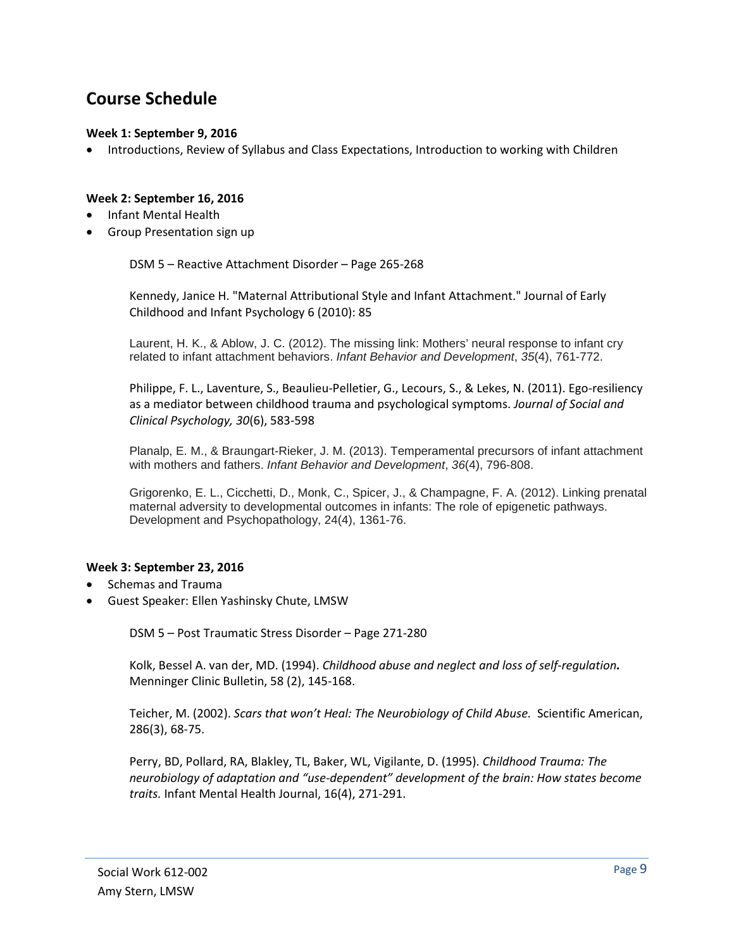# **Course Schedule**

#### **Week 1: September 9, 2016**

• Introductions, Review of Syllabus and Class Expectations, Introduction to working with Children

#### **Week 2: September 16, 2016**

- Infant Mental Health
- Group Presentation sign up

DSM 5 – Reactive Attachment Disorder – Page 265-268

Kennedy, Janice H. "Maternal Attributional Style and Infant Attachment." Journal of Early Childhood and Infant Psychology 6 (2010): 85

Laurent, H. K., & Ablow, J. C. (2012). The missing link: Mothers' neural response to infant cry related to infant attachment behaviors. *Infant Behavior and Development*, *35*(4), 761-772.

Philippe, F. L., Laventure, S., Beaulieu-Pelletier, G., Lecours, S., & Lekes, N. (2011). Ego-resiliency as a mediator between childhood trauma and psychological symptoms. *Journal of Social and Clinical Psychology, 30*(6), 583-598

Planalp, E. M., & Braungart-Rieker, J. M. (2013). Temperamental precursors of infant attachment with mothers and fathers. *Infant Behavior and Development*, *36*(4), 796-808.

Grigorenko, E. L., Cicchetti, D., Monk, C., Spicer, J., & Champagne, F. A. (2012). Linking prenatal maternal adversity to developmental outcomes in infants: The role of epigenetic pathways. Development and Psychopathology, 24(4), 1361-76.

## **Week 3: September 23, 2016**

- Schemas and Trauma
- Guest Speaker: Ellen Yashinsky Chute, LMSW

DSM 5 – Post Traumatic Stress Disorder – Page 271-280

Kolk, Bessel A. van der, MD. (1994). *Childhood abuse and neglect and loss of self-regulation.* Menninger Clinic Bulletin, 58 (2), 145-168.

Teicher, M. (2002). *Scars that won't Heal: The Neurobiology of Child Abuse.* Scientific American, 286(3), 68-75.

Perry, BD, Pollard, RA, Blakley, TL, Baker, WL, Vigilante, D. (1995). *Childhood Trauma: The neurobiology of adaptation and "use-dependent" development of the brain: How states become traits.* Infant Mental Health Journal, 16(4), 271-291.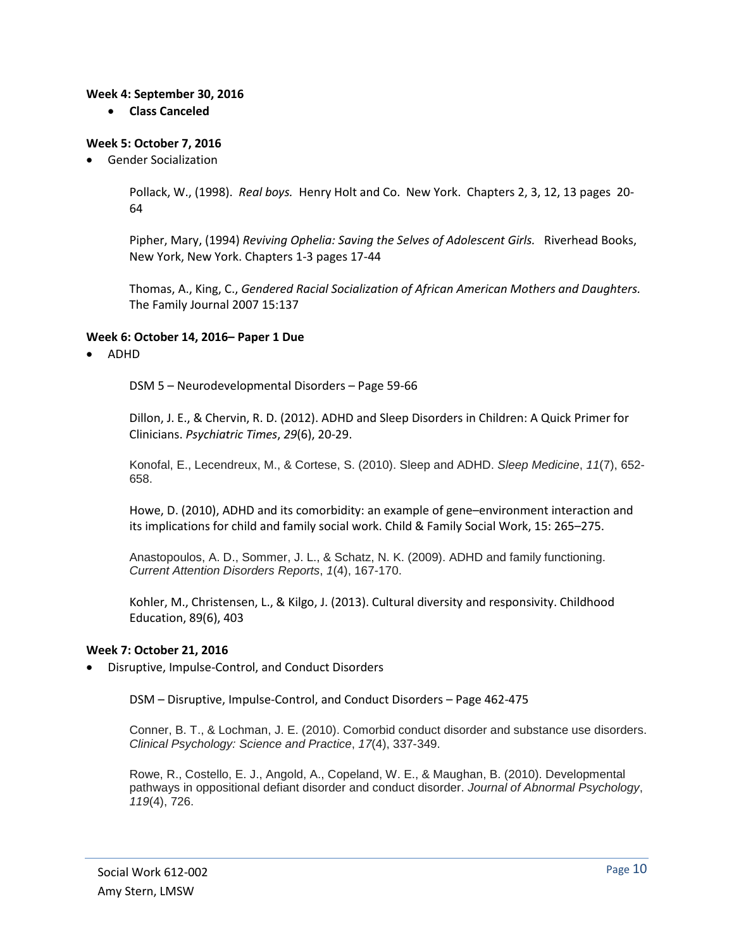#### **Week 4: September 30, 2016**

• **Class Canceled**

#### **Week 5: October 7, 2016**

• Gender Socialization

Pollack, W., (1998). *Real boys.* Henry Holt and Co. New York. Chapters 2, 3, 12, 13 pages 20- 64

Pipher, Mary, (1994) *Reviving Ophelia: Saving the Selves of Adolescent Girls.* Riverhead Books, New York, New York. Chapters 1-3 pages 17-44

Thomas, A., King, C., *Gendered Racial Socialization of African American Mothers and Daughters.*  The Family Journal 2007 15:137

#### **Week 6: October 14, 2016– Paper 1 Due**

• ADHD

DSM 5 – Neurodevelopmental Disorders – Page 59-66

Dillon, J. E., & Chervin, R. D. (2012). ADHD and Sleep Disorders in Children: A Quick Primer for Clinicians. *Psychiatric Times*, *29*(6), 20-29.

Konofal, E., Lecendreux, M., & Cortese, S. (2010). Sleep and ADHD. *Sleep Medicine*, *11*(7), 652- 658.

Howe, D. (2010), ADHD and its comorbidity: an example of gene–environment interaction and its implications for child and family social work. Child & Family Social Work, 15: 265–275.

Anastopoulos, A. D., Sommer, J. L., & Schatz, N. K. (2009). ADHD and family functioning. *Current Attention Disorders Reports*, *1*(4), 167-170.

Kohler, M., Christensen, L., & Kilgo, J. (2013). Cultural diversity and responsivity. Childhood Education, 89(6), 403

#### **Week 7: October 21, 2016**

• Disruptive, Impulse-Control, and Conduct Disorders

DSM – Disruptive, Impulse-Control, and Conduct Disorders – Page 462-475

Conner, B. T., & Lochman, J. E. (2010). Comorbid conduct disorder and substance use disorders. *Clinical Psychology: Science and Practice*, *17*(4), 337-349.

Rowe, R., Costello, E. J., Angold, A., Copeland, W. E., & Maughan, B. (2010). Developmental pathways in oppositional defiant disorder and conduct disorder. *Journal of Abnormal Psychology*, *119*(4), 726.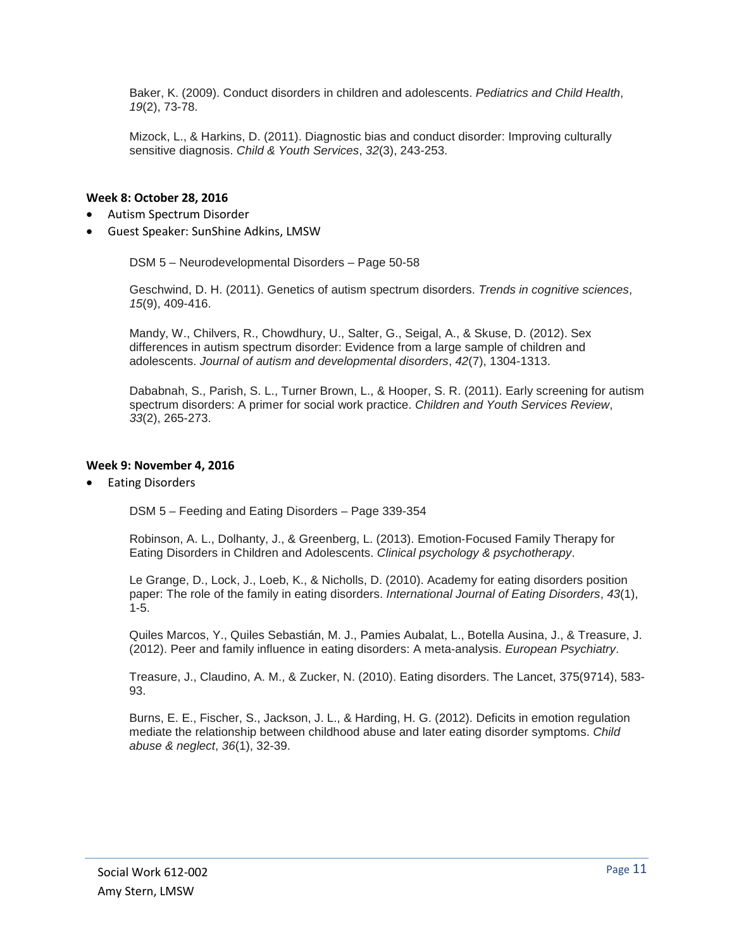Baker, K. (2009). Conduct disorders in children and adolescents. *Pediatrics and Child Health*, *19*(2), 73-78.

Mizock, L., & Harkins, D. (2011). Diagnostic bias and conduct disorder: Improving culturally sensitive diagnosis. *Child & Youth Services*, *32*(3), 243-253.

#### **Week 8: October 28, 2016**

- Autism Spectrum Disorder
- Guest Speaker: SunShine Adkins, LMSW

DSM 5 – Neurodevelopmental Disorders – Page 50-58

Geschwind, D. H. (2011). Genetics of autism spectrum disorders. *Trends in cognitive sciences*, *15*(9), 409-416.

Mandy, W., Chilvers, R., Chowdhury, U., Salter, G., Seigal, A., & Skuse, D. (2012). Sex differences in autism spectrum disorder: Evidence from a large sample of children and adolescents. *Journal of autism and developmental disorders*, *42*(7), 1304-1313.

Dababnah, S., Parish, S. L., Turner Brown, L., & Hooper, S. R. (2011). Early screening for autism spectrum disorders: A primer for social work practice. *Children and Youth Services Review*, *33*(2), 265-273.

#### **Week 9: November 4, 2016**

• Eating Disorders

DSM 5 – Feeding and Eating Disorders – Page 339-354

Robinson, A. L., Dolhanty, J., & Greenberg, L. (2013). Emotion‐Focused Family Therapy for Eating Disorders in Children and Adolescents. *Clinical psychology & psychotherapy*.

Le Grange, D., Lock, J., Loeb, K., & Nicholls, D. (2010). Academy for eating disorders position paper: The role of the family in eating disorders. *International Journal of Eating Disorders*, *43*(1), 1-5.

Quiles Marcos, Y., Quiles Sebastián, M. J., Pamies Aubalat, L., Botella Ausina, J., & Treasure, J. (2012). Peer and family influence in eating disorders: A meta-analysis. *European Psychiatry*.

Treasure, J., Claudino, A. M., & Zucker, N. (2010). Eating disorders. The Lancet, 375(9714), 583- 93.

Burns, E. E., Fischer, S., Jackson, J. L., & Harding, H. G. (2012). Deficits in emotion regulation mediate the relationship between childhood abuse and later eating disorder symptoms. *Child abuse & neglect*, *36*(1), 32-39.